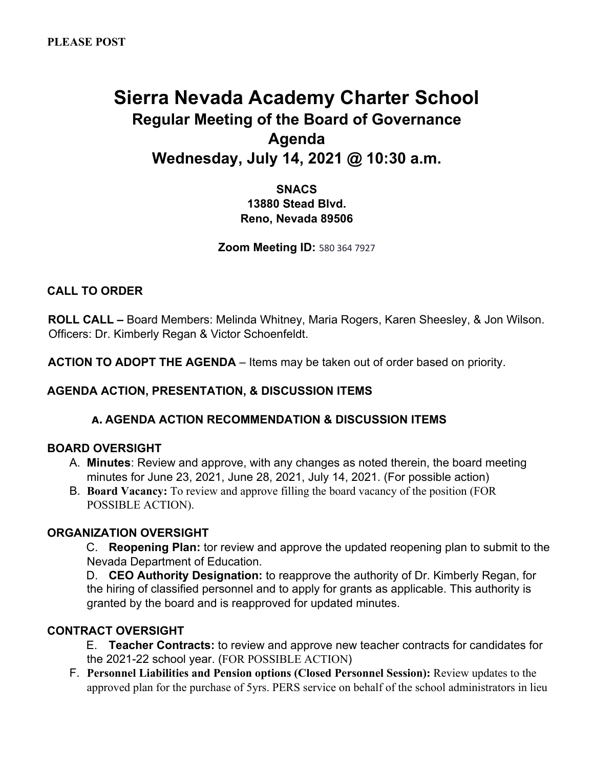# **Sierra Nevada Academy Charter School Regular Meeting of the Board of Governance Agenda Wednesday, July 14, 2021 @ 10:30 a.m.**

**SNACS 13880 Stead Blvd. Reno, Nevada 89506** 

**Zoom Meeting ID:** 580 364 7927

### **CALL TO ORDER**

**ROLL CALL –** Board Members: Melinda Whitney, Maria Rogers, Karen Sheesley, & Jon Wilson. Officers: Dr. Kimberly Regan & Victor Schoenfeldt.

**ACTION TO ADOPT THE AGENDA** – Items may be taken out of order based on priority.

### **AGENDA ACTION, PRESENTATION, & DISCUSSION ITEMS**

#### **A. AGENDA ACTION RECOMMENDATION & DISCUSSION ITEMS**

#### **BOARD OVERSIGHT**

- A. **Minutes**: Review and approve, with any changes as noted therein, the board meeting minutes for June 23, 2021, June 28, 2021, July 14, 2021. (For possible action)
- B. **Board Vacancy:** To review and approve filling the board vacancy of the position (FOR POSSIBLE ACTION).

#### **ORGANIZATION OVERSIGHT**

C. **Reopening Plan:** tor review and approve the updated reopening plan to submit to the Nevada Department of Education.

D. **CEO Authority Designation:** to reapprove the authority of Dr. Kimberly Regan, for the hiring of classified personnel and to apply for grants as applicable. This authority is granted by the board and is reapproved for updated minutes.

### **CONTRACT OVERSIGHT**

E. **Teacher Contracts:** to review and approve new teacher contracts for candidates for the 2021-22 school year. (FOR POSSIBLE ACTION)

F. **Personnel Liabilities and Pension options (Closed Personnel Session):** Review updates to the approved plan for the purchase of 5yrs. PERS service on behalf of the school administrators in lieu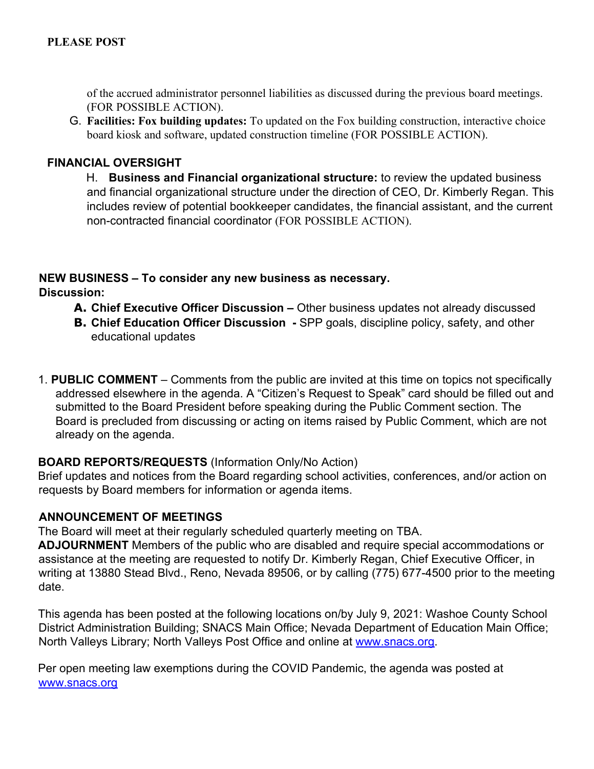of the accrued administrator personnel liabilities as discussed during the previous board meetings. (FOR POSSIBLE ACTION).

G. **Facilities: Fox building updates:** To updated on the Fox building construction, interactive choice board kiosk and software, updated construction timeline (FOR POSSIBLE ACTION).

## **FINANCIAL OVERSIGHT**

H. **Business and Financial organizational structure:** to review the updated business and financial organizational structure under the direction of CEO, Dr. Kimberly Regan. This includes review of potential bookkeeper candidates, the financial assistant, and the current non-contracted financial coordinator (FOR POSSIBLE ACTION).

## **NEW BUSINESS – To consider any new business as necessary. Discussion:**

- **A. Chief Executive Officer Discussion –** Other business updates not already discussed
- **B. Chief Education Officer Discussion -** SPP goals, discipline policy, safety, and other educational updates
- 1. **PUBLIC COMMENT** Comments from the public are invited at this time on topics not specifically addressed elsewhere in the agenda. A "Citizen's Request to Speak" card should be filled out and submitted to the Board President before speaking during the Public Comment section. The Board is precluded from discussing or acting on items raised by Public Comment, which are not already on the agenda.

### **BOARD REPORTS/REQUESTS** (Information Only/No Action)

Brief updates and notices from the Board regarding school activities, conferences, and/or action on requests by Board members for information or agenda items.

### **ANNOUNCEMENT OF MEETINGS**

The Board will meet at their regularly scheduled quarterly meeting on TBA.

**ADJOURNMENT** Members of the public who are disabled and require special accommodations or assistance at the meeting are requested to notify Dr. Kimberly Regan, Chief Executive Officer, in writing at 13880 Stead Blvd., Reno, Nevada 89506, or by calling (775) 677-4500 prior to the meeting date.

This agenda has been posted at the following locations on/by July 9, 2021: Washoe County School District Administration Building; SNACS Main Office; Nevada Department of Education Main Office; North Valleys Library; North Valleys Post Office and online at www.snacs.org.

Per open meeting law exemptions during the COVID Pandemic, the agenda was posted at www.snacs.org